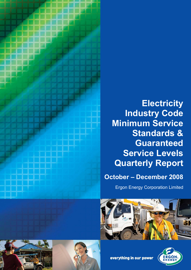

# **Electricity Industry Code Minimum Service Standards & Guaranteed Service Levels Quarterly Report**

**October – December 2008**

Ergon Energy Corporation Limited









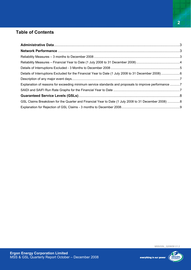# **Table of Contents**

| Explanation of reasons for exceeding minimum service standards and proposals to improve performance 7 |  |
|-------------------------------------------------------------------------------------------------------|--|
|                                                                                                       |  |
|                                                                                                       |  |
| GSL Claims Breakdown for the Quarter and Financial Year to Date (1 July 2008 to 31 December 2008) 8   |  |
|                                                                                                       |  |

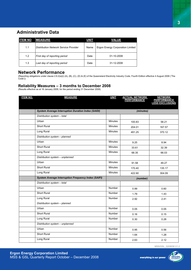## **Administrative Data**

| <b>ITEM NO</b> | <b>MEASURE</b>                        | <b>UNIT</b> | <b>VALUE</b>                     |
|----------------|---------------------------------------|-------------|----------------------------------|
| 1.1            | Distribution Network Service Provider | Name        | Ergon Energy Corporation Limited |
| 1.2            | First day of reporting period         | Date        | 01-10-2008                       |
| 1.3            | Last day of reporting period          | Date        | 31-12-2008                       |

## **Network Performance**

(Reporting obligations under clause 2.6.2(a)(i) (A), (B), (C), (D) & (E) of the Queensland Electricity Industry Code, Fourth Edition effective 4 August 2008 ('The Code'))

### **Reliability Measures – 3 months to December 2008**

(Results effective as at 16 January 2009, for the period ending 31 December 2008)

| <b>ITEM NO.</b> | <b>MEASURE</b>                                             | <b>UNIT</b>    | <b>ACTUAL NETWORK</b><br><b>PERFORMANCE</b> | <b>NETWORK</b><br><b>PERFORMANCE</b><br><b>LESS EXCLUSIONS</b> |
|-----------------|------------------------------------------------------------|----------------|---------------------------------------------|----------------------------------------------------------------|
|                 |                                                            |                |                                             |                                                                |
|                 | <b>System Average Interruption Duration Index (SAIDI)</b>  |                | (minutes)                                   |                                                                |
|                 | Distribution system - total                                |                |                                             |                                                                |
|                 | Urban                                                      | <b>Minutes</b> | 100.83                                      | 58.21                                                          |
|                 | <b>Short Rural</b>                                         | <b>Minutes</b> | 204.01                                      | 167.57                                                         |
|                 | Long Rural                                                 | Minutes        | 491.25                                      | 370.12                                                         |
|                 | Distribution system - planned                              |                |                                             |                                                                |
|                 | Urban                                                      | Minutes        | 9.25                                        | 8.94                                                           |
|                 | <b>Short Rural</b>                                         | <b>Minutes</b> | 33.61                                       | 32.39                                                          |
|                 | Long Rural                                                 | <b>Minutes</b> | 68.35                                       | 66.03                                                          |
|                 | Distribution system - unplanned                            |                |                                             |                                                                |
|                 | Urban                                                      | <b>Minutes</b> | 91.58                                       | 49.27                                                          |
|                 | Short Rural                                                | Minutes        | 170.40                                      | 135.17                                                         |
|                 | Long Rural                                                 | <b>Minutes</b> | 422.90                                      | 304.09                                                         |
|                 | <b>System Average Interruption Frequency Index (SAIFI)</b> |                | (number)                                    |                                                                |
|                 | Distribution system - total                                |                |                                             |                                                                |
|                 | Urban                                                      | Number         | 0.99                                        | 0.60                                                           |
|                 | <b>Short Rural</b>                                         | Number         | 1.79                                        | 1.43                                                           |
|                 | Long Rural                                                 | Number         | 2.92                                        | 2.41                                                           |
|                 | Distribution system - planned                              |                |                                             |                                                                |
|                 | Urban                                                      | <b>Number</b>  | 0.05                                        | 0.05                                                           |
|                 | <b>Short Rural</b>                                         | Number         | 0.16                                        | 0.15                                                           |
|                 | Long Rural                                                 | Number         | 0.30                                        | 0.28                                                           |
|                 | Distribution system - unplanned                            |                |                                             |                                                                |
|                 | Urban                                                      | Number         | 0.95                                        | 0.56                                                           |
|                 | <b>Short Rural</b>                                         | Number         | 1.64                                        | 1.28                                                           |
|                 | Long Rural                                                 | Number         | 2.63                                        | 2.12                                                           |

MSS/GSL\_Q208/09 V1.2

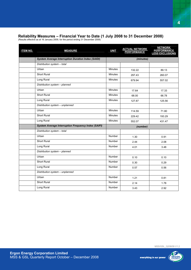## **Reliability Measures – Financial Year to Date (1 July 2008 to 31 December 2008)**

(Results effective as at 16 January 2009, for the period ending 31 December 2008)

| <b>ITEM NO.</b> | <b>MEASURE</b>                                             | <b>UNIT</b>    | <b>ACTUAL NETWORK</b><br>PERFORMANCE | <b>NETWORK</b><br><b>PERFORMANCE</b><br><b>LESS EXCLUSIONS</b> |
|-----------------|------------------------------------------------------------|----------------|--------------------------------------|----------------------------------------------------------------|
|                 | <b>System Average Interruption Duration Index (SAIDI)</b>  |                | (minutes)                            |                                                                |
|                 | Distribution system - total                                |                |                                      |                                                                |
|                 | Urban                                                      | <b>Minutes</b> | 132.22                               | 89.13                                                          |
|                 | <b>Short Rural</b>                                         | <b>Minutes</b> | 297.43                               | 260.07                                                         |
|                 | Long Rural                                                 | <b>Minutes</b> | 679.94                               | 557.02                                                         |
|                 | Distribution system - planned                              |                |                                      |                                                                |
|                 | Urban                                                      | <b>Minutes</b> | 17.64                                | 17.33                                                          |
|                 | Short Rural                                                | <b>Minutes</b> | 68.00                                | 66.78                                                          |
|                 | Long Rural                                                 | <b>Minutes</b> | 127.87                               | 125.56                                                         |
|                 | Distribution system - unplanned                            |                |                                      |                                                                |
|                 | Urban                                                      | <b>Minutes</b> | 114.59                               | 71.80                                                          |
|                 | Short Rural                                                | Minutes        | 229.42                               | 193.29                                                         |
|                 | Long Rural                                                 | <b>Minutes</b> | 552.07                               | 431.47                                                         |
|                 | <b>System Average Interruption Frequency Index (SAIFI)</b> |                | (number)                             |                                                                |
|                 | Distribution system - total                                |                |                                      |                                                                |
|                 | Urban                                                      | <b>Number</b>  | 1.30                                 | 0.91                                                           |
|                 | <b>Short Rural</b>                                         | Number         | 2.44                                 | 2.08                                                           |
|                 | Long Rural                                                 | <b>Number</b>  | 4.01                                 | 3.48                                                           |
|                 | Distribution system - planned                              |                |                                      |                                                                |
|                 | Urban                                                      | Number         | 0.10                                 | 0.10                                                           |
|                 | Short Rural                                                | Number         | 0.30                                 | 0.29                                                           |
|                 | Long Rural                                                 | Number         | 0.57                                 | 0.56                                                           |
|                 | Distribution system - unplanned                            |                |                                      |                                                                |
|                 | Urban                                                      | Number         | 1.21                                 | 0.81                                                           |
|                 | Short Rural                                                | Number         | 2.14                                 | 1.78                                                           |
|                 | Long Rural                                                 | <b>Number</b>  | 3.43                                 | 2.92                                                           |

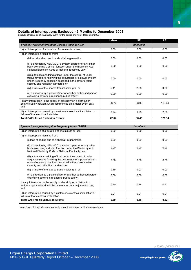## **Details of Interruptions Excluded - 3 Months to December 2008**

(Results effective as at 16January 2009, for the period ending 31 December 2008)

|                                                                                                                                                                                                                                 | Urban | <b>SR</b> | <b>LR</b> |
|---------------------------------------------------------------------------------------------------------------------------------------------------------------------------------------------------------------------------------|-------|-----------|-----------|
| <b>System Average Interruption Duration Index (SAIDI)</b>                                                                                                                                                                       |       | (minutes) |           |
| (a) an interruption of a duration of one minute or less;                                                                                                                                                                        | 0.00  | 0.00      | 0.00      |
| (b) an interruption resulting from:                                                                                                                                                                                             |       |           |           |
| (i) load shedding due to a shortfall in generation;                                                                                                                                                                             | 0.00  | 0.00      | 0.00      |
| (ii) a direction by NEMMCO, a system operator or any other<br>body exercising a similar function under the Electricity Act,<br>National Electricity Code or National Electricity Law;                                           | 0.00  | 0.00      | 0.00      |
| (iii) automatic shedding of load under the control of under<br>frequency relays following the occurrence of a power system<br>under-frequency condition described in the power system<br>security and reliability standards; or | 0.00  | 0.00      | 0.00      |
| (iv) a failure of the shared transmission grid; or                                                                                                                                                                              | 5.11  | 2.08      | 0.00      |
| (v) a direction by a police officer or another authorised person<br>exercising powers in relation to public safety;                                                                                                             | 0.00  | 0.00      | 0.00      |
| (c) any interruption to the supply of electricity on a distribution<br>entity's supply network which commences on a major event day;<br>and                                                                                     | 36.77 | 33.08     | 118.64    |
| (d) an interruption caused by a customer's electrical installation or<br>failure of that electrical installation.                                                                                                               | 0.74  | 1.29      | 2.50      |
| <b>Total SAIDI for all Exclusion Events</b>                                                                                                                                                                                     | 42.62 | 36.45     | 121.14    |
|                                                                                                                                                                                                                                 |       |           |           |
| <b>System Average Interruption Frequency Index (SAIFI)</b>                                                                                                                                                                      |       | (number)  |           |
| (a) an interruption of a duration of one minute or less;                                                                                                                                                                        | 0.00  | 0.00      | 0.00      |
| (b) an interruption resulting from:                                                                                                                                                                                             |       |           |           |
| (i) load shedding due to a shortfall in generation;                                                                                                                                                                             | 0.00  | 0.00      | 0.00      |
| (ii) a direction by NEMMCO, a system operator or any other<br>body exercising a similar function under the Electricity Act.<br>National Electricity Code or National Electricity Law;                                           | 0.00  | 0.00      | 0.00      |
| (iii) automatic shedding of load under the control of under<br>frequency relays following the occurrence of a power system<br>under-frequency condition described in the power system<br>security and reliability standards; or | 0.00  | 0.00      | 0.00      |
| (iv) a failure of the shared transmission grid; or                                                                                                                                                                              | 0.19  | 0.07      | 0.00      |
| (v) a direction by a police officer or another authorised person<br>exercising powers in relation to public safety;                                                                                                             | 0.00  | 0.00      | 0.00      |
| (c) any interruption to the supply of electricity on a distribution<br>entity's supply network which commences on a major event day;<br>and                                                                                     | 0.20  | 0.28      | 0.51      |

**Total SAIFI for all Exclusion Events 1.39** 0.39 0.36 0.52

Note: Ergon Energy does not currently record momentary (<1 minute) outages.



**5**

**Ergon Energy Corporation Limited**  MSS & GSL Quarterly Report October – December 2008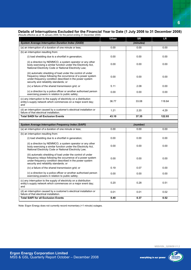#### **Details of Interruptions Excluded for the Financial Year to Date (1 July 2008 to 31 December 2008)** (Results effective as at 16 January 2009, for the period ending 31 December 2008)

|                                                                                                                                                                                                                                 | Urban | <b>SR</b> | <b>LR</b> |
|---------------------------------------------------------------------------------------------------------------------------------------------------------------------------------------------------------------------------------|-------|-----------|-----------|
| <b>System Average Interruption Duration Index (SAIDI)</b>                                                                                                                                                                       |       | (minutes) |           |
| (a) an interruption of a duration of one minute or less;                                                                                                                                                                        | 0.00  | 0.00      | 0.00      |
| (b) an interruption resulting from:                                                                                                                                                                                             |       |           |           |
| (i) load shedding due to a shortfall in generation;                                                                                                                                                                             | 0.00  | 0.00      | 0.00      |
| (ii) a direction by NEMMCO, a system operator or any other<br>body exercising a similar function under the Electricity Act,<br>National Electricity Code or National Electricity Law;                                           | 0.00  | 0.00      | 0.00      |
| (iii) automatic shedding of load under the control of under<br>frequency relays following the occurrence of a power system<br>under-frequency condition described in the power system<br>security and reliability standards; or | 0.00  | 0.00      | 0.00      |
| (iv) a failure of the shared transmission grid; or                                                                                                                                                                              | 5.11  | 2.08      | 0.00      |
| (v) a direction by a police officer or another authorised person<br>exercising powers in relation to public safety;                                                                                                             | 0.00  | 0.00      | 0.00      |
| (c) any interruption to the supply of electricity on a distribution<br>entity's supply network which commences on a major event day;<br>and                                                                                     | 36.77 | 33.08     | 118.64    |
| (d) an interruption caused by a customer's electrical installation or<br>failure of that electrical installation.                                                                                                               | 1.21  | 2.20      | 4.29      |
| <b>Total SAIDI for all Exclusion Events</b>                                                                                                                                                                                     | 43.10 | 37.35     | 122.93    |
|                                                                                                                                                                                                                                 |       |           |           |
|                                                                                                                                                                                                                                 |       |           |           |
| <b>System Average Interruption Frequency Index (SAIFI)</b>                                                                                                                                                                      |       | (number)  |           |
| (a) an interruption of a duration of one minute or less;                                                                                                                                                                        | 0.00  | 0.00      | 0.00      |
| (b) an interruption resulting from:                                                                                                                                                                                             |       |           |           |
| (i) load shedding due to a shortfall in generation;                                                                                                                                                                             | 0.00  | 0.00      | 0.00      |
| (ii) a direction by NEMMCO, a system operator or any other<br>body exercising a similar function under the Electricity Act.<br>National Electricity Code or National Electricity Law;                                           | 0.00  | 0.00      | 0.00      |
| (iii) automatic shedding of load under the control of under<br>frequency relays following the occurrence of a power system<br>under-frequency condition described in the power system<br>security and reliability standards; or | 0.00  | 0.00      | 0.00      |
| (iv) a failure of the shared transmission grid; or                                                                                                                                                                              | 0.19  | 0.07      | 0.00      |
| (v) a direction by a police officer or another authorised person<br>exercising powers in relation to public safety;                                                                                                             | 0.00  | 0.00      | 0.00      |
| (c) any interruption to the supply of electricity on a distribution<br>entity's supply network which commences on a major event day;<br>and                                                                                     | 0.20  | 0.28      | 0.51      |
| (d) an interruption caused by a customer's electrical installation or<br>failure of that electrical installation.                                                                                                               | 0.01  | 0.01      | 0.02      |

Note: Ergon Energy does not currently record momentary (<1 minute) outages.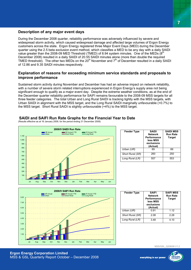## **Description of any major event days**

During the December 2008 quarter, reliability performance was adversely influenced by severe and widespread storm activity, which caused widespread damage and affected large volumes of Ergon Energy customers across the state. Ergon Energy registered three Major Event Days (MED) during the December quarter using the 2.5 beta exclusion event method, which classifies a MED to be any day with a daily SAIDI value greater than the 2008-09 MED Threshold (TMED) of 8.94 system minutes. One of the MEDs  $(8<sup>th</sup>$ December 2008) resulted in a daily SAIDI of 20.55 SAIDI minutes alone (more than double the required TMED threshold). The other two MEDs on the 20<sup>th</sup> November and  $7<sup>th</sup>$  of December resulted in a daily SAIDI of 12.86 and 9.35 SAIDI minutes respectively.

## **Explanation of reasons for exceeding minimum service standards and proposals to improve performance**

Sustained storm activity during November and December has had an adverse impact on network reliability, with a number of severe storm related interruptions experienced in Ergon Energy's supply area not being significant enough to qualify as a major event day. Despite the extreme weather conditions, as at the end of the December quarter reliability performance for SAIFI remains favourable to the 2008-09 MSS targets for all three feeder categories. The total Urban and Long Rural SAIDI is tracking tightly with the MSS targets, with Urban SAIDI in alignment with the MSS target, and the Long Rural SAIDI marginally unfavourable (+0.7%) to the MSS target. Short Rural SAIDI is slightly unfavourable (+4%) to the MSS target.

## **SAIDI and SAIFI Run Rate Graphs for the Financial Year to Date**

(Results effective as at 16 January 2009, for the period ending 31 December 2008)



| <b>Feeder Type</b> | <b>SAIDI</b><br><b>Network</b><br>Performance<br>less MSS<br>exclusions<br>(Actual) | <b>SAIDI MSS</b><br><b>Run Rate</b><br><b>Target</b> |
|--------------------|-------------------------------------------------------------------------------------|------------------------------------------------------|
| Urban (UR)         | 89                                                                                  | 89                                                   |
| Short Rural (SR)   | 260                                                                                 | 250                                                  |
| Long Rural (LR)    | 557                                                                                 | 553                                                  |



| <b>Feeder Type</b> | <b>SAIFI</b><br><b>Network</b><br>Performance<br>less MSS<br>exclusions<br>(Actual) | <b>SAIFI MSS</b><br><b>Run Rate</b><br><b>Target</b> |
|--------------------|-------------------------------------------------------------------------------------|------------------------------------------------------|
| Urban (UR)         | 0 91                                                                                | 1.12                                                 |
| Short Rural (SR)   | 2.08                                                                                | 2.28                                                 |
| Long Rural (LR)    | 3.48                                                                                | 4.10                                                 |

MSS/GSL\_Q208/09 V1.2

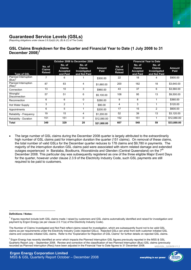# **Guaranteed Service Levels (GSLs)**

(Reporting obligations under clause 2.6.2(a)(ii) (A), (B) & (C) of The Code)

## **GSL Claims Breakdown for the Quarter and Financial Year to Date (1 July 2008 to 31 December 2008)<sup>1</sup>**

|                                   | October 2008 to December 2008            |                                                        |                                                         |                       |                                          | <b>Financial Year to Date</b>                          |                                                         |                       |
|-----------------------------------|------------------------------------------|--------------------------------------------------------|---------------------------------------------------------|-----------------------|------------------------------------------|--------------------------------------------------------|---------------------------------------------------------|-----------------------|
| <b>Type of GSL</b>                | No. of<br><b>Claims</b><br><b>Raised</b> | No. of<br><b>Claims</b><br><b>Accepted</b><br>and Paid | No. of<br><b>Claims</b><br>Investigated<br>and Not Paid | <b>Amount</b><br>Paid | No. of<br><b>Claims</b><br><b>Raised</b> | No. of<br><b>Claims</b><br><b>Accepted</b><br>and Paid | No. of<br><b>Claims</b><br>Investigated<br>and Not Paid | <b>Amount</b><br>Paid |
| Planned Interruption<br>$(Bus)^2$ | 7                                        | 6                                                      |                                                         | \$300.00              | 22                                       | 18                                                     | 4                                                       | \$900.00              |
| Planned Interruption<br>$(Res)^2$ | 87                                       | 83                                                     | 4                                                       | \$1,660.00            | 200                                      | 182                                                    | 18                                                      | \$3,640.00            |
| Connection                        | 13                                       | 10                                                     | 3                                                       | \$960.00              | 43                                       | 37                                                     | 6                                                       | \$3,560.00            |
| Wrongful<br><b>Disconnection</b>  | 57                                       | 51                                                     | 6                                                       | \$5,100.00            | 108                                      | 95                                                     | 13                                                      | \$9,500.00            |
| Reconnection                      | 6                                        | 6                                                      | 0                                                       | \$280.00              | 9                                        | 8                                                      |                                                         | \$360.00              |
| Hot Water Supply                  | 3                                        | $\overline{2}$                                         |                                                         | \$80.00               | 4                                        | 3                                                      |                                                         | \$120.00              |
| Appointments                      | 6                                        | 5                                                      |                                                         | \$200.00              | 17                                       | 15                                                     | $\overline{2}$                                          | \$600.00              |
| Reliability - Frequency           | 19                                       | 15                                                     | 4                                                       | \$1,200.00            | 52                                       | 39                                                     | 13                                                      | \$3,120.00            |
| Reliability - Duration            | 151                                      | 151                                                    | 0                                                       | \$12,080.00           | 152                                      | 151                                                    |                                                         | \$12,080.00           |
| Total                             | 349                                      | 329                                                    | 20                                                      | \$21,860.00           | 607                                      | 548                                                    | 59                                                      | \$33,880.00           |

• The large number of GSL claims during the December 2008 quarter is largely attributed to the extraordinarily high number of GSL claims paid for interruption duration the quarter (151 claims). On removal of these claims, the total number of valid GSLs for the December quarter reduces to 178 claims and \$9,780 in payments. The majority of the interruption duration GSL claims paid were associated with storm related damage and extended outages experienced in Baralaba, Boolburra, Woorabinda and Glenden (Central Queensland) on the 7<sup>th</sup> December 2008. This particular day was subsequently registered as one of the three eligible Major Event Days for the quarter, however under clause 2.3.9 of the Electricity Industry Code, such GSL payments are still required to be paid to customers.

**Definitions / Notes:** 

 $\overline{a}$ 

 $1$  Figures reported include both GSL claims made / raised by customers and GSL claims automatically identified and raised for investigation and payment by Ergon Energy (as per clause 2.5.11(a) of the Electricity Industry Code).



The Number of Claims Investigated and Not Paid reflect claims raised for investigation, which are subsequently found not to be valid GSL claims as per requirements under the Electricity Industry Code (rejected GSLs). Rejected GSLs can arise from both customer initiated GSL claims and corporate initiated GSL claims. Refer to the "Explanation for Rejection of GSL Claims" for further details on rejected GSL claims.

MSS/GSL\_Q208/09 V1.2  $^2$  Ergon Energy has recently identified an error which impacts the Planned Interruption GSL figures previously reported in the MSS & GSL Quarterly Report July – September 2008. Review and correction of the classification of two Planned Interruption (Bus) GSL claims (previously recorded as Planned Interruption (Res)) have been adjusted in the Financial Year to Date figures to 31 December 2008.